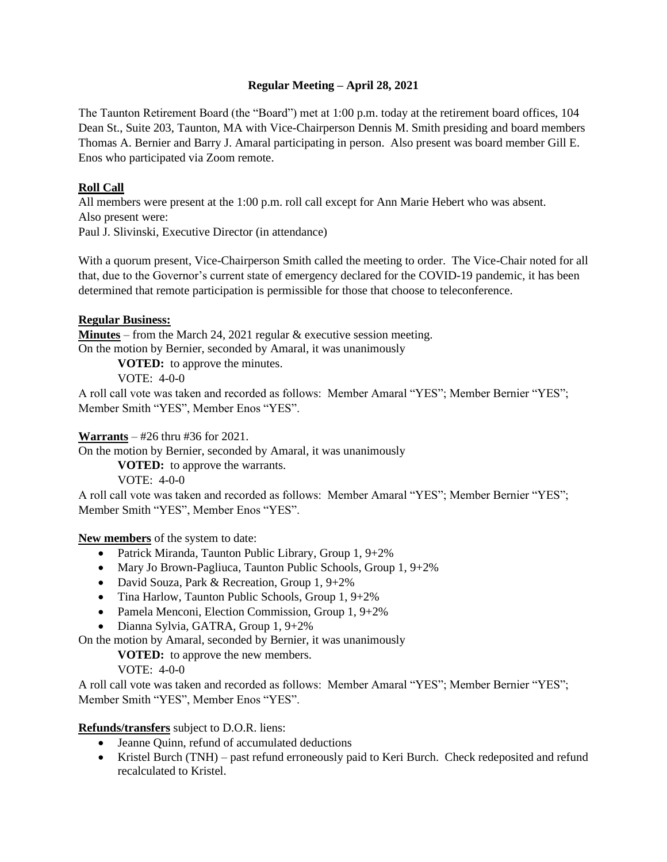## **Regular Meeting – April 28, 2021**

The Taunton Retirement Board (the "Board") met at 1:00 p.m. today at the retirement board offices, 104 Dean St., Suite 203, Taunton, MA with Vice-Chairperson Dennis M. Smith presiding and board members Thomas A. Bernier and Barry J. Amaral participating in person. Also present was board member Gill E. Enos who participated via Zoom remote.

## **Roll Call**

All members were present at the 1:00 p.m. roll call except for Ann Marie Hebert who was absent. Also present were:

Paul J. Slivinski, Executive Director (in attendance)

With a quorum present, Vice-Chairperson Smith called the meeting to order. The Vice-Chair noted for all that, due to the Governor's current state of emergency declared for the COVID-19 pandemic, it has been determined that remote participation is permissible for those that choose to teleconference.

### **Regular Business:**

**Minutes** – from the March 24, 2021 regular & executive session meeting. On the motion by Bernier, seconded by Amaral, it was unanimously

**VOTED:** to approve the minutes.

VOTE: 4-0-0

A roll call vote was taken and recorded as follows: Member Amaral "YES"; Member Bernier "YES"; Member Smith "YES", Member Enos "YES".

## **Warrants** – #26 thru #36 for 2021.

On the motion by Bernier, seconded by Amaral, it was unanimously

**VOTED:** to approve the warrants.

VOTE: 4-0-0

A roll call vote was taken and recorded as follows: Member Amaral "YES"; Member Bernier "YES"; Member Smith "YES", Member Enos "YES".

**New members** of the system to date:

- Patrick Miranda, Taunton Public Library, Group 1, 9+2%
- Mary Jo Brown-Pagliuca, Taunton Public Schools, Group 1, 9+2%
- David Souza, Park & Recreation, Group 1, 9+2%
- Tina Harlow, Taunton Public Schools, Group 1, 9+2%
- Pamela Menconi, Election Commission, Group 1, 9+2%
- Dianna Sylvia, GATRA, Group 1, 9+2%

On the motion by Amaral, seconded by Bernier, it was unanimously

**VOTED:** to approve the new members.

VOTE: 4-0-0

A roll call vote was taken and recorded as follows: Member Amaral "YES"; Member Bernier "YES"; Member Smith "YES", Member Enos "YES".

### **Refunds/transfers** subject to D.O.R. liens:

- Jeanne Quinn, refund of accumulated deductions
- Kristel Burch (TNH) past refund erroneously paid to Keri Burch. Check redeposited and refund recalculated to Kristel.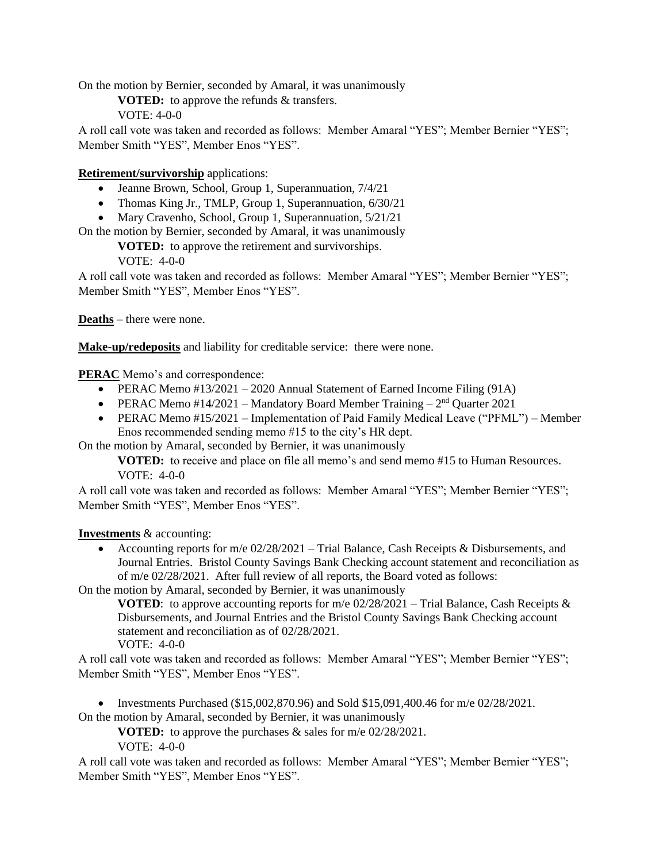On the motion by Bernier, seconded by Amaral, it was unanimously

**VOTED:** to approve the refunds & transfers.

VOTE: 4-0-0

A roll call vote was taken and recorded as follows: Member Amaral "YES"; Member Bernier "YES"; Member Smith "YES", Member Enos "YES".

# **Retirement/survivorship** applications:

- Jeanne Brown, School, Group 1, Superannuation, 7/4/21
- Thomas King Jr., TMLP, Group 1, Superannuation, 6/30/21
- Mary Cravenho, School, Group 1, Superannuation, 5/21/21

On the motion by Bernier, seconded by Amaral, it was unanimously

**VOTED:** to approve the retirement and survivorships.

VOTE: 4-0-0

A roll call vote was taken and recorded as follows: Member Amaral "YES"; Member Bernier "YES"; Member Smith "YES", Member Enos "YES".

**Deaths** – there were none.

**Make-up/redeposits** and liability for creditable service: there were none.

**PERAC** Memo's and correspondence:

- PERAC Memo #13/2021 2020 Annual Statement of Earned Income Filing (91A)
- PERAC Memo #14/2021 Mandatory Board Member Training  $-2<sup>nd</sup>$  Quarter 2021
- PERAC Memo #15/2021 Implementation of Paid Family Medical Leave ("PFML") Member Enos recommended sending memo #15 to the city's HR dept.

On the motion by Amaral, seconded by Bernier, it was unanimously

**VOTED:** to receive and place on file all memo's and send memo #15 to Human Resources. VOTE: 4-0-0

A roll call vote was taken and recorded as follows: Member Amaral "YES"; Member Bernier "YES"; Member Smith "YES", Member Enos "YES".

**Investments** & accounting:

• Accounting reports for m/e  $02/28/2021$  – Trial Balance, Cash Receipts & Disbursements, and Journal Entries. Bristol County Savings Bank Checking account statement and reconciliation as of m/e 02/28/2021. After full review of all reports, the Board voted as follows:

On the motion by Amaral, seconded by Bernier, it was unanimously

**VOTED**: to approve accounting reports for m/e  $02/28/2021$  – Trial Balance, Cash Receipts & Disbursements, and Journal Entries and the Bristol County Savings Bank Checking account statement and reconciliation as of 02/28/2021. VOTE: 4-0-0

A roll call vote was taken and recorded as follows: Member Amaral "YES"; Member Bernier "YES"; Member Smith "YES", Member Enos "YES".

• Investments Purchased (\$15,002,870.96) and Sold \$15,091,400.46 for  $m/e$  02/28/2021.

On the motion by Amaral, seconded by Bernier, it was unanimously

**VOTED:** to approve the purchases & sales for m/e 02/28/2021.

VOTE: 4-0-0

A roll call vote was taken and recorded as follows: Member Amaral "YES"; Member Bernier "YES"; Member Smith "YES", Member Enos "YES".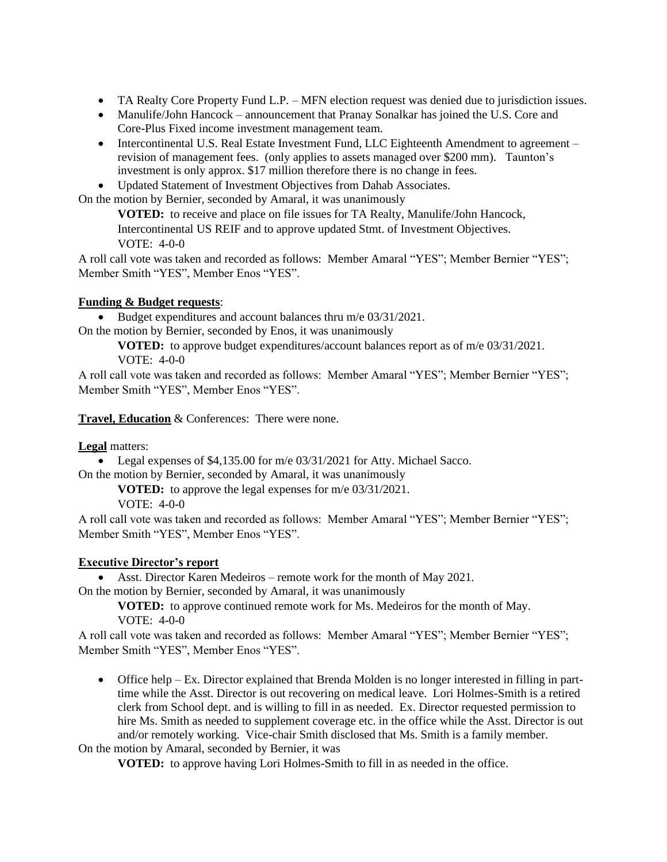- TA Realty Core Property Fund L.P. MFN election request was denied due to jurisdiction issues.
- Manulife/John Hancock announcement that Pranay Sonalkar has joined the U.S. Core and Core-Plus Fixed income investment management team.
- Intercontinental U.S. Real Estate Investment Fund, LLC Eighteenth Amendment to agreement revision of management fees. (only applies to assets managed over \$200 mm). Taunton's investment is only approx. \$17 million therefore there is no change in fees.
- Updated Statement of Investment Objectives from Dahab Associates.

On the motion by Bernier, seconded by Amaral, it was unanimously

**VOTED:** to receive and place on file issues for TA Realty, Manulife/John Hancock, Intercontinental US REIF and to approve updated Stmt. of Investment Objectives. VOTE: 4-0-0

A roll call vote was taken and recorded as follows: Member Amaral "YES"; Member Bernier "YES"; Member Smith "YES", Member Enos "YES".

## **Funding & Budget requests**:

• Budget expenditures and account balances thru m/e 03/31/2021. On the motion by Bernier, seconded by Enos, it was unanimously

**VOTED:** to approve budget expenditures/account balances report as of m/e 03/31/2021. VOTE: 4-0-0

A roll call vote was taken and recorded as follows: Member Amaral "YES"; Member Bernier "YES"; Member Smith "YES", Member Enos "YES".

**Travel, Education** & Conferences: There were none.

**Legal** matters:

• Legal expenses of \$4,135.00 for m/e 03/31/2021 for Atty. Michael Sacco. On the motion by Bernier, seconded by Amaral, it was unanimously

**VOTED:** to approve the legal expenses for m/e 03/31/2021.

VOTE: 4-0-0

A roll call vote was taken and recorded as follows: Member Amaral "YES"; Member Bernier "YES"; Member Smith "YES", Member Enos "YES".

### **Executive Director's report**

• Asst. Director Karen Medeiros – remote work for the month of May 2021.

On the motion by Bernier, seconded by Amaral, it was unanimously

**VOTED:** to approve continued remote work for Ms. Medeiros for the month of May. VOTE: 4-0-0

A roll call vote was taken and recorded as follows: Member Amaral "YES"; Member Bernier "YES"; Member Smith "YES", Member Enos "YES".

• Office help – Ex. Director explained that Brenda Molden is no longer interested in filling in parttime while the Asst. Director is out recovering on medical leave. Lori Holmes-Smith is a retired clerk from School dept. and is willing to fill in as needed. Ex. Director requested permission to hire Ms. Smith as needed to supplement coverage etc. in the office while the Asst. Director is out and/or remotely working. Vice-chair Smith disclosed that Ms. Smith is a family member.

On the motion by Amaral, seconded by Bernier, it was

**VOTED:** to approve having Lori Holmes-Smith to fill in as needed in the office.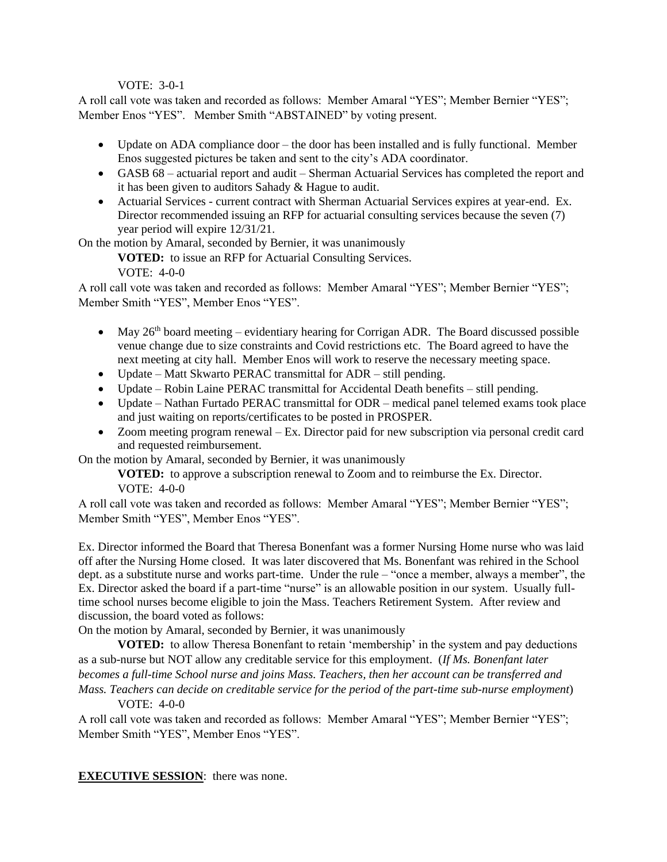#### VOTE: 3-0-1

A roll call vote was taken and recorded as follows: Member Amaral "YES"; Member Bernier "YES"; Member Enos "YES". Member Smith "ABSTAINED" by voting present.

- Update on ADA compliance door the door has been installed and is fully functional. Member Enos suggested pictures be taken and sent to the city's ADA coordinator.
- GASB 68 actuarial report and audit Sherman Actuarial Services has completed the report and it has been given to auditors Sahady & Hague to audit.
- Actuarial Services current contract with Sherman Actuarial Services expires at year-end. Ex. Director recommended issuing an RFP for actuarial consulting services because the seven (7) year period will expire 12/31/21.

On the motion by Amaral, seconded by Bernier, it was unanimously

**VOTED:** to issue an RFP for Actuarial Consulting Services.

VOTE: 4-0-0

A roll call vote was taken and recorded as follows: Member Amaral "YES"; Member Bernier "YES"; Member Smith "YES", Member Enos "YES".

- May  $26<sup>th</sup>$  board meeting evidentiary hearing for Corrigan ADR. The Board discussed possible venue change due to size constraints and Covid restrictions etc. The Board agreed to have the next meeting at city hall. Member Enos will work to reserve the necessary meeting space.
- Update Matt Skwarto PERAC transmittal for ADR still pending.
- Update Robin Laine PERAC transmittal for Accidental Death benefits still pending.
- Update Nathan Furtado PERAC transmittal for ODR medical panel telemed exams took place and just waiting on reports/certificates to be posted in PROSPER.
- Zoom meeting program renewal Ex. Director paid for new subscription via personal credit card and requested reimbursement.

On the motion by Amaral, seconded by Bernier, it was unanimously

**VOTED:** to approve a subscription renewal to Zoom and to reimburse the Ex. Director. VOTE: 4-0-0

A roll call vote was taken and recorded as follows: Member Amaral "YES"; Member Bernier "YES"; Member Smith "YES", Member Enos "YES".

Ex. Director informed the Board that Theresa Bonenfant was a former Nursing Home nurse who was laid off after the Nursing Home closed. It was later discovered that Ms. Bonenfant was rehired in the School dept. as a substitute nurse and works part-time. Under the rule – "once a member, always a member", the Ex. Director asked the board if a part-time "nurse" is an allowable position in our system. Usually fulltime school nurses become eligible to join the Mass. Teachers Retirement System. After review and discussion, the board voted as follows:

On the motion by Amaral, seconded by Bernier, it was unanimously

**VOTED:** to allow Theresa Bonenfant to retain 'membership' in the system and pay deductions as a sub-nurse but NOT allow any creditable service for this employment. (*If Ms. Bonenfant later becomes a full-time School nurse and joins Mass. Teachers, then her account can be transferred and Mass. Teachers can decide on creditable service for the period of the part-time sub-nurse employment*)  $VOTE: 4-0-0$ 

A roll call vote was taken and recorded as follows: Member Amaral "YES"; Member Bernier "YES"; Member Smith "YES", Member Enos "YES".

**EXECUTIVE SESSION:** there was none.